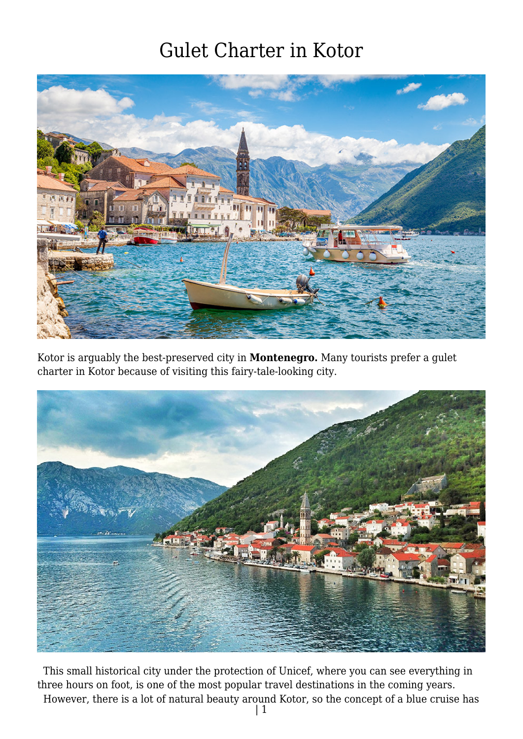

Kotor is arguably the best-preserved city in **Montenegro.** Many tourists prefer a gulet charter in Kotor because of visiting this fairy-tale-looking city.



 This small historical city under the protection of Unicef, where you can see everything in three hours on foot, is one of the most popular travel destinations in the coming years. However, there is a lot of natural beauty around Kotor, so the concept of a blue cruise has

| 1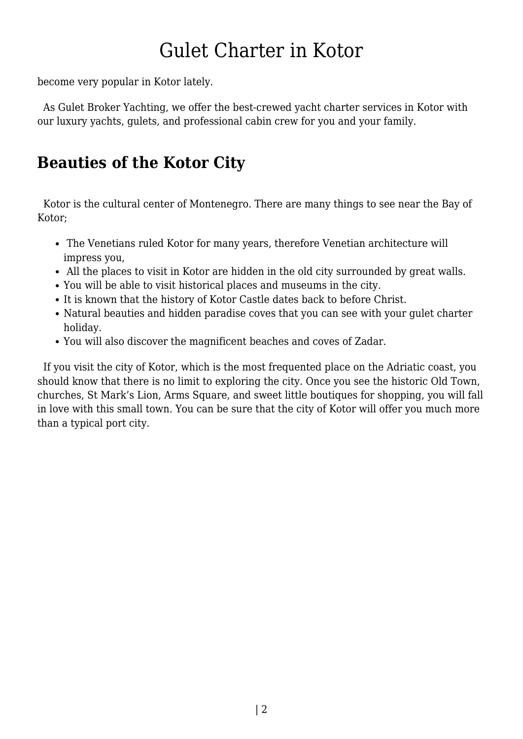become very popular in Kotor lately.

 As Gulet Broker Yachting, we offer the best-crewed yacht charter services in Kotor with our luxury yachts, gulets, and professional cabin crew for you and your family.

#### **Beauties of the Kotor City**

 Kotor is the cultural center of Montenegro. There are many things to see near the Bay of Kotor;

- The Venetians ruled Kotor for many years, therefore Venetian architecture will impress you,
- All the places to visit in Kotor are hidden in the old city surrounded by great walls.
- You will be able to visit historical places and museums in the city.
- It is known that the history of Kotor Castle dates back to before Christ.
- Natural beauties and hidden paradise coves that you can see with your gulet charter holiday.
- You will also discover the magnificent beaches and coves of Zadar.

 If you visit the city of Kotor, which is the most frequented place on the Adriatic coast, you should know that there is no limit to exploring the city. Once you see the historic Old Town, churches, St Mark's Lion, Arms Square, and sweet little boutiques for shopping, you will fall in love with this small town. You can be sure that the city of Kotor will offer you much more than a typical port city.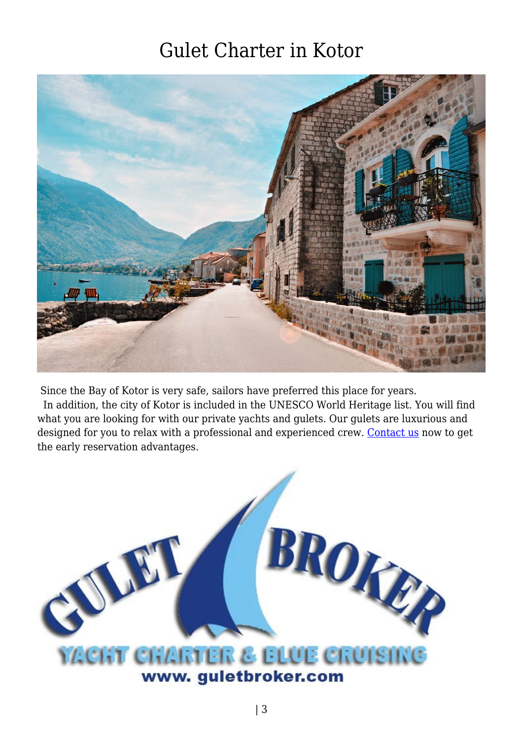

Since the Bay of Kotor is very safe, sailors have preferred this place for years.

 In addition, the city of Kotor is included in the UNESCO World Heritage list. You will find what you are looking for with our private yachts and gulets. Our gulets are luxurious and designed for you to relax with a professional and experienced crew. [Contact us](https://www.guletbroker.com/contact/) now to get the early reservation advantages.